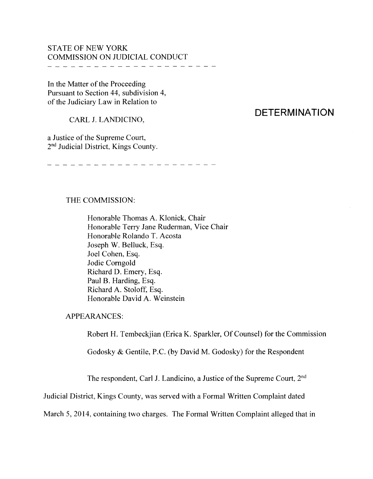# STATE OF NEW YORK COMMISSION ON JUDICIAL CONDUCT

---------------

In the Matter of the Proceeding Pursuant to Section 44, subdivision 4, of the Judiciary Law in Relation to

CARL J. LANDICINO,

# **DETERMINATION**

a Justice of the Supreme Court, 2<sup>nd</sup> Judicial District, Kings County.

## THE COMMISSION:

Honorable Thomas A. Klonick, Chair Honorable Terry Jane Ruderman, Vice Chair Honorable Rolando T. Acosta Joseph W. Belluck, Esq. Joel Cohen, Esq. Jodie Comgold Richard D. Emery, Esq. Paul B. Harding, Esq. Richard A. Stoloff, Esq. Honorable David A. Weinstein

APPEARANCES:

Robert H. Tembeckjian (Erica K. Sparkler, Of Counsel) for the Commission

Godosky & Gentile, P.C. (by David M. Godosky) for the Respondent

The respondent, Carl J. Landicino, a Justice of the Supreme Court, 2<sup>nd</sup>

Judicial District, Kings County, was served with a Formal Written Complaint dated

March 5, 2014, containing two charges. The Formal Written Complaint alleged that in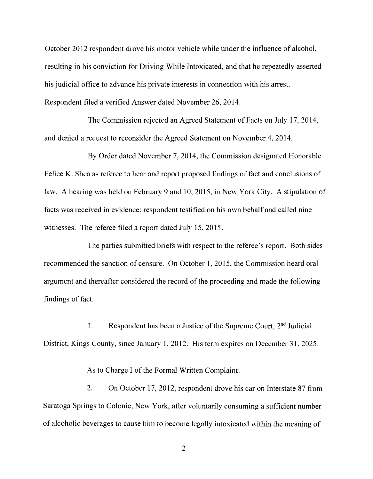October 2012 respondent drove his motor vehicle while under the influence of alcohol, resulting in his conviction for Driving While Intoxicated, and that he repeatedly asserted his judicial office to advance his private interests in connection with his arrest. Respondent filed a verified Answer dated November 26, 2014.

The Commission rejected an Agreed Statement of Facts on July 17, 2014, and denied a request to reconsider the Agreed Statement on November 4, 2014.

By Order dated November 7, 2014, the Commission designated Honorable Felice K. Shea as referee to hear and report proposed findings of fact and conclusions of law. A hearing was held on February 9 and 10, 2015, in New York City. A stipulation of facts was received in evidence; respondent testified on his own behalf and called nine witnesses. The referee filed a report dated July 15, 2015.

The parties submitted briefs with respect to the referee's report. Both sides recommended the sanction of censure. On October 1, 2015, the Commission heard oral argument and thereafter considered the record of the proceeding and made the following findings of fact.

1. Respondent has been a Justice of the Supreme Court,  $2<sup>nd</sup>$  Judicial District, Kings County, since January 1, 2012. His term expires on December 31, 2025.

As to Charge I of the Formal Written Complaint:

2. On October 17, 2012, respondent drove his car on Interstate 87 from Saratoga Springs to Colonie, New York, after voluntarily consuming a sufficient number of alcoholic beverages to cause him to become legally intoxicated within the meaning of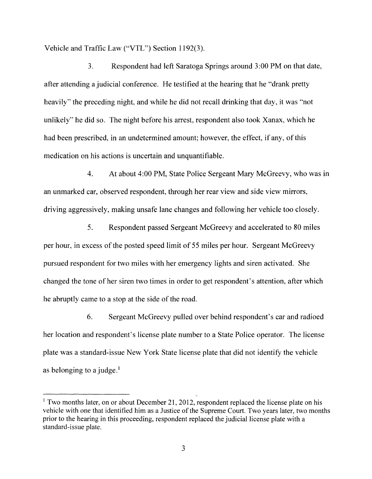Vehicle and Traffic Law ("YTL") Section 1192(3).

3. Respondent had left Saratoga Springs around 3 :00 PM on that date, after attending a judicial conference. He testified at the hearing that he "drank pretty heavily" the preceding night, and while he did not recall drinking that day, it was "not unlikely" he did so. The night before his arrest, respondent also took Xanax, which he had been prescribed, in an undetermined amount; however, the effect, if any, of this medication on his actions is uncertain and unquantifiable.

4. At about 4:00 PM, State Police Sergeant Mary McGreevy, who was in an unmarked car, observed respondent, through her rear view and side view mirrors, driving aggressively, making unsafe lane changes and following her vehicle too closely.

5. Respondent passed Sergeant McGreevy and accelerated to 80 miles per hour, in excess of the posted speed limit of 55 miles per hour. Sergeant McGreevy pursued respondent for two miles with her emergency lights and siren activated. She changed the tone of her siren two times in order to get respondent's attention, after which he abruptly came to a stop at the side of the road.

6. Sergeant McGreevy pulled over behind respondent's car and radioed her location and respondent's license plate number to a State Police operator. The license plate was a standard-issue New York State license plate that did not identify the vehicle as belonging to a judge.<sup>1</sup>

<sup>&</sup>lt;sup>1</sup> Two months later, on or about December 21, 2012, respondent replaced the license plate on his vehicle with one that identified him as a Justice of the Supreme Court. Two years later, two months prior to the hearing in this proceeding, respondent replaced the judicial license plate with a standard-issue plate.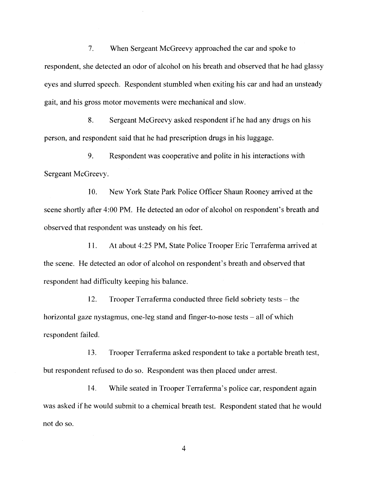7. When Sergeant McGreevy approached the car and spoke to respondent, she detected an odor of alcohol on his breath and observed that he had glassy eyes and slurred speech. Respondent stumbled when exiting his car and had an unsteady gait, and his gross motor movements were mechanical and slow.

8. Sergeant McGreevy asked respondent ifhe had any drugs on his person, and respondent said that he had prescription drugs in his luggage.

9. Respondent was cooperative and polite in his interactions with Sergeant McGreevy.

10. New York State Park Police Officer Shaun Rooney arrived at the scene shortly after 4:00 PM. He detected an odor of alcohol on respondent's breath and observed that respondent was unsteady on his feet.

11. At about 4:25 PM, State Police Trooper Eric Terraferma arrived at the scene. He detected an odor of alcohol on respondent's breath and observed that respondent had difficulty keeping his balance.

12. Trooper Terraferma conducted three field sobriety tests – the horizontal gaze nystagmus, one-leg stand and finger-to-nose tests – all of which respondent failed.

13. Trooper Terraferma asked respondent to take a portable breath test, but respondent refused to do so. Respondent was then placed under arrest.

14. While seated in Trooper Terraferma's police car, respondent again was asked if he would submit to a chemical breath test. Respondent stated that he would not do so.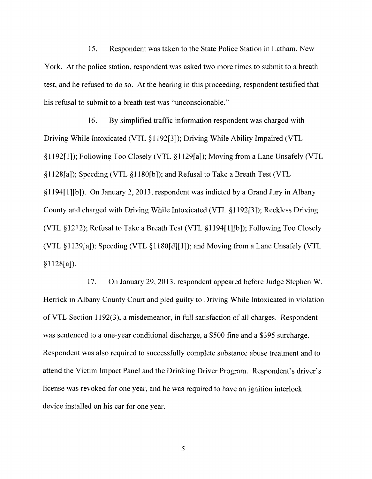15. Respondent was taken to the State Police Station in Latham, New York. At the police station, respondent was asked two more times to submit to a breath test, and he refused to do so. At the hearing in this proceeding, respondent testified that his refusal to submit to a breath test was "unconscionable."

16. By simplified traffic information respondent was charged with Driving While Intoxicated (VTL § 1192[3]); Driving While Ability Impaired (VTL §1192[1]); Following Too Closely (VTL §l 129[a]); Moving from a Lane Unsafely (VTL § 1128[a]); Speeding (VTL § 1180[b]); and Refusal to Take a Breath Test (VTL §1194[1][b]). On January 2, 2013, respondent was indicted by a Grand Jury in Albany County and charged with Driving While Intoxicated (VTL §1192[3]); Reckless Driving (VTL §1212); Refusal to Take a Breath Test (VTL §1194[l][b]); Following Too Closely (VTL §1129[a]); Speeding (VTL §1180[d][l]); and Moving from a Lane Unsafely (VTL §l 128[a]).

17. On January 29, 2013, respondent appeared before Judge Stephen W. Herrick in Albany County Court and pied guilty to Driving While Intoxicated in violation of VTL Section 1192(3 ), a misdemeanor, in full satisfaction of all charges. Respondent was sentenced to a one-year conditional discharge, a \$500 fine and a \$395 surcharge. Respondent was also required to successfully complete substance abuse treatment and to attend the Victim Impact Panel and the Drinking Driver Program. Respondent's driver's license was revoked for one year, and he was required to have an ignition interlock device installed on his car for one year.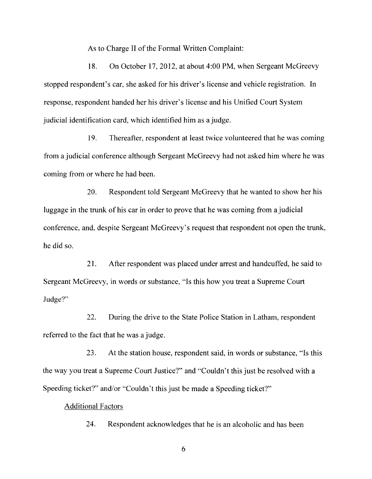As to Charge II of the Formal Written Complaint:

18. On October 17, 2012, at about 4:00 PM, when Sergeant McGreevy stopped respondent's car, she asked for his driver's license and vehicle registration. In response, respondent handed her his driver's license and his Unified Court System judicial identification card, which identified him as a judge.

19. Thereafter, respondent at least twice volunteered that he was coming from a judicial conference although Sergeant McGreevy had not asked him where he was coming from or where he had been.

20. Respondent told Sergeant McGreevy that he wanted to show her his luggage in the trunk of his car in order to prove that he was coming from a judicial conference, and, despite Sergeant McGreevy's request that respondent not open the trunk, he did so.

21. After respondent was placed under arrest and handcuffed, he said to Sergeant McGreevy, in words or substance, "Is this how you treat a Supreme Court Judge?"

22. During the drive to the State Police Station in Latham, respondent referred to the fact that he was a judge.

23. At the station house, respondent said, in words or substance, "Is this the way you treat a Supreme Court Justice?" and "Couldn't this just be resolved with a Speeding ticket?" and/or "Couldn't this just be made a Speeding ticket?"

#### Additional Factors

24. Respondent acknowledges that he is an alcoholic and has been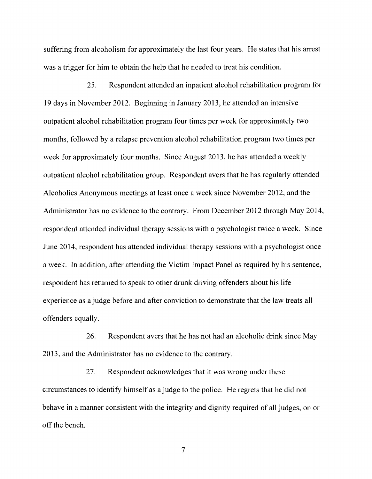suffering from alcoholism for approximately the last four years. He states that his arrest was a trigger for him to obtain the help that he needed to treat his condition.

25. Respondent attended an inpatient alcohol rehabilitation program for 19 days in November 2012. Beginning in January 2013, he attended an intensive outpatient alcohol rehabilitation program four times per week for approximately two months, followed by a relapse prevention alcohol rehabilitation program two times per week for approximately four months. Since August 2013, he has attended a weekly outpatient alcohol rehabilitation group. Respondent avers that he has regularly attended Alcoholics Anonymous meetings at least once a week since November 2012, and the Administrator has no evidence to the contrary. From December 2012 through May 2014, respondent attended individual therapy sessions with a psychologist twice a week. Since June 2014, respondent has attended individual therapy sessions with a psychologist once a week. In addition, after attending the Victim Impact Panel as required by his sentence, respondent has returned to speak to other drunk driving offenders about his life experience as a judge before and after conviction to demonstrate that the law treats all offenders equally.

26. Respondent avers that he has not had an alcoholic drink since May 2013, and the Administrator has no evidence to the contrary.

27. Respondent acknowledges that it was wrong under these circumstances to identify himself as a judge to the police. He regrets that he did not behave in a manner consistent with the integrity and dignity required of all judges, on or off the bench.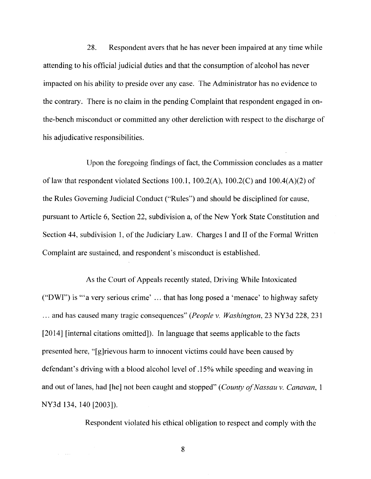28. Respondent avers that he has never been impaired at any time while attending to his official judicial duties and that the consumption of alcohol has never impacted on his ability to preside over any case. The Administrator has no evidence to the contrary. There is no claim in the pending Complaint that respondent engaged in onthe-bench misconduct or committed any other dereliction with respect to the discharge of his adjudicative responsibilities.

Upon the foregoing findings of fact, the Commission concludes as a matter of law that respondent violated Sections 100.1, 100.2(A), 100.2(C) and 100.4(A)(2) of the Rules Governing Judicial Conduct ("Rules") and should be disciplined for cause, pursuant to Article 6, Section 22, subdivision a, of the New York State Constitution and Section 44, subdivision 1, of the Judiciary Law. Charges I and II of the Formal Written Complaint are sustained, and respondent's misconduct is established.

As the Court of Appeals recently stated, Driving While Intoxicated ("DWI") is "'a very serious crime' ... that has long posed a 'menace' to highway safety ... and has caused many tragic consequences" *(People v. Washington,* 23 NY3d 228, 231 [2014] [internal citations omitted]). In language that seems applicable to the facts presented here, "[g]rievous harm to innocent victims could have been caused by defendant's driving with a blood alcohol level of .15% while speeding and weaving in and out of lanes, had [he] not been caught and stopped" *(County of Nassau v. Canavan,* 1 NY3d 134, 140 [2003]).

Respondent violated his ethical obligation to respect and comply with the

8

in a c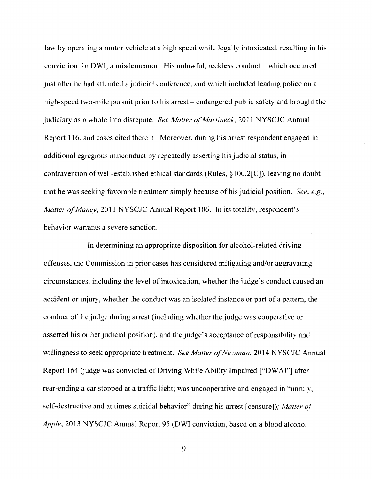law by operating a motor vehicle at a high speed while legally intoxicated, resulting in his conviction for DWI, a misdemeanor. His unlawful, reckless conduct – which occurred just after he had attended a judicial conference, and which included leading police on a high-speed two-mile pursuit prior to his arrest – endangered public safety and brought the judiciary as a whole into disrepute. *See Matter of Martineck,* 2011 NYSCJC Annual Report 116, and cases cited therein. Moreover, during his arrest respondent engaged in additional egregious misconduct by repeatedly asserting his judicial status, in contravention of well-established ethical standards (Rules, *§* 100.2[C]), leaving no doubt that he was seeking favorable treatment simply because of his judicial position. *See, e.g., Matter of Maney,* 2011 NYSCJC Annual Report 106. In its totality, respondent's behavior warrants a severe sanction.

In determining an appropriate disposition for alcohol-related driving offenses, the Commission in prior cases has considered mitigating and/or aggravating circumstances, including the level of intoxication, whether the judge's conduct caused an accident or injury, whether the conduct was an isolated instance or part of a pattern, the conduct of the judge during arrest (including whether the judge was cooperative or asserted his or her judicial position), and the judge's acceptance of responsibility and willingness to seek appropriate treatment. *See Matter of Newman,* 2014 NYSCJC Annual Report 164 (judge was convicted of Driving While Ability Impaired ["D WAI"] after rear-ending a car stopped at a traffic light; was uncooperative and engaged in "unruly, self-destructive and at times suicidal behavior" during his arrest [censure]); *Matter of Apple,* 2013 NYSCJC Annual Report 95 (DWI conviction, based on a blood alcohol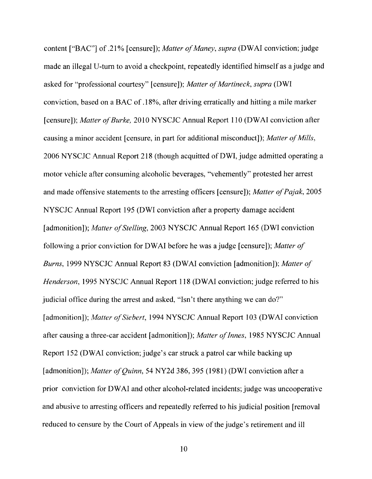content ["BAC"] of .21 % [censure]); *Matter of Maney, supra* (DW Al conviction; judge made an illegal U-tum to avoid a checkpoint, repeatedly identified himself as a judge and asked for "professional courtesy" [censure]); *Matter of Martineck, supra* (DWI conviction, based on a BAC of .18%, after driving erratically and hitting a mile marker [censure]); *Matter of Burke,* 2010 NYSCJC Annual Report 110 (DW AI conviction after causing a minor accident [censure, in part for additional misconduct]); *Matter of Mills,*  2006 NYSCJC Annual Report 218 (though acquitted of DWI, judge admitted operating a motor vehicle after consuming alcoholic beverages, "vehemently" protested her arrest and made offensive statements to the arresting officers [censure]); *Matter of Pajak,* 2005 NYSCJC Annual Report 195 (DWI conviction after a property damage accident [admonition]); *Matter of Stelling,* 2003 NYSCJC Annual Report 165 (DWI conviction following a prior conviction for DWAI before he was a judge [censure]); *Matter of Burns,* 1999 NYSCJC Annual Report 83 (DWAI conviction [admonition]); *Matter of Henderson,* 1995 NYSCJC Annual Report 118 (DWAI conviction; judge referred to his judicial office during the arrest and asked, "Isn't there anything we can do?" [admonition]); *Matter of Siebert*, 1994 NYSCJC Annual Report 103 (DWAI conviction after causing a three-car accident [admonition]); *Matter of Innes,* 1985 NYSCJC Annual Report 152 (DWAI conviction; judge's car struck a patrol car while backing up [admonition]); *Matter of Quinn,* 54 NY2d 386, 395 (1981) (DWI conviction after a prior conviction for DWAI and other alcohol-related incidents; judge was uncooperative and abusive to arresting officers and repeatedly referred to his judicial position [removal reduced to censure by the Court of Appeals in view of the judge's retirement and ill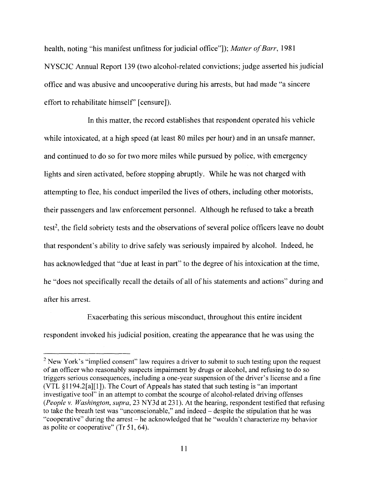health, noting "his manifest unfitness for judicial office"]); *Matter of Barr,* 1981 NYSCJC Annual Report 139 (two alcohol-related convictions; judge asserted his judicial office and was abusive and uncooperative during his arrests, but had made "a sincere effort to rehabilitate himself' [censure]).

In this matter, the record establishes that respondent operated his vehicle while intoxicated, at a high speed (at least 80 miles per hour) and in an unsafe manner, and continued to do so for two more miles while pursued by police, with emergency lights and siren activated, before stopping abruptly. While he was not charged with attempting to flee, his conduct imperiled the lives of others, including other motorists, their passengers and law enforcement personnel. Although he refused to take a breath test<sup>2</sup>, the field sobriety tests and the observations of several police officers leave no doubt that respondent's ability to drive safely was seriously impaired by alcohol. Indeed, he has acknowledged that "due at least in part" to the degree of his intoxication at the time, he "does not specifically recall the details of all of his statements and actions" during and after his arrest.

Exacerbating this serious misconduct, throughout this entire incident respondent invoked his judicial position, creating the appearance that he was using the

 $2$  New York's "implied consent" law requires a driver to submit to such testing upon the request of an officer who reasonably suspects impairment by drugs or alcohol, and refusing to do so triggers serious consequences, including a one-year suspension of the driver's license and a fine (YTL §l 194.2(a][l]). The Court of Appeals has stated that such testing is "an important investigative tool" in an attempt to combat the scourge of alcohol-related driving offenses *(People v. Washington, supra,* 23 NY3d at 231 ). At the hearing, respondent testified that refusing to take the breath test was "unconscionable," and indeed - despite the stipulation that he was "cooperative" during the arrest - he acknowledged that he "wouldn't characterize my behavior as polite or cooperative" (Tr 51, 64).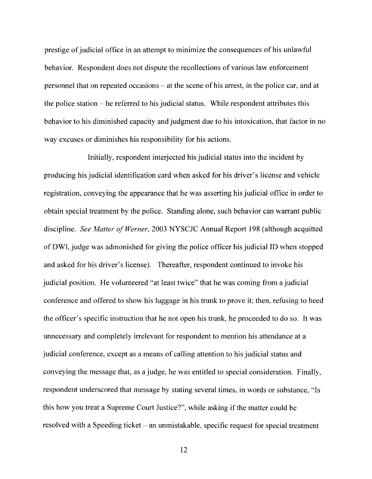prestige of judicial office in an attempt to minimize the consequences of his unlawful behavior. Respondent does not dispute the recollections of various law enforcement personnel that on repeated occasions - at the scene of his arrest, in the police car, and at the police station  $-$  he referred to his judicial status. While respondent attributes this behavior to his diminished capacity and judgment due to his intoxication, that factor in no way excuses or diminishes his responsibility for his actions.

Initially, respondent interjected his judicial status into the incident by producing his judicial identification card when asked for his driver's license and vehicle registration, conveying the appearance that he was asserting his judicial office in order to obtain special treatment by the police. Standing alone, such behavior can warrant public discipline. *See Matter of Werner,* 2003 NYSCJC Annual Report 198 (although acquitted of DWI, judge was admonished for giving the police officer his judicial ID when stopped and asked for his driver's license). Thereafter, respondent continued to invoke his judicial position. He volunteered "at least twice" that he was coming from a judicial conference and offered to show his luggage in his trunk to prove it; then, refusing to heed the officer's specific instruction that he not open his trunk, he proceeded to do so. It was unnecessary and completely irrelevant for respondent to mention his attendance at a judicial conference, except as a means of calling attention to his judicial status and conveying the message that, as a judge, he was entitled to special consideration. Finally, respondent underscored that message by stating several times, in words or substance, "Is this how you treat a Supreme Court Justice?", while asking if the matter could be resolved with a Speeding ticket – an unmistakable, specific request for special treatment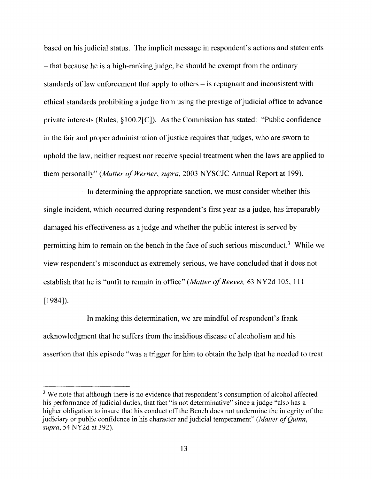based on his judicial status. The implicit message in respondent's actions and statements - that because he is a high-ranking judge, he should be exempt from the ordinary standards of law enforcement that apply to others  $-$  is repugnant and inconsistent with ethical standards prohibiting a judge from using the prestige of judicial office to advance private interests (Rules, § 100.2[C]). As the Commission has stated: "Public confidence in the fair and proper administration of justice requires that judges, who are sworn to uphold the law, neither request nor receive special treatment when the laws are applied to them personally" *(Matter of Werner, supra,* 2003 NYSCJC Annual Report at 199).

In determining the appropriate sanction, we must consider whether this single incident, which occurred during respondent's first year as a judge, has irreparably damaged his effectiveness as a judge and whether the public interest is served by permitting him to remain on the bench in the face of such serious misconduct.<sup>3</sup> While we view respondent's misconduct as extremely serious, we have concluded that it does not establish that he is "unfit to remain in office" *(Matter of Reeves, 63 NY2d 105, 111*) [1984]).

In making this determination, we are mindful of respondent's frank acknowledgment that he suffers from the insidious disease of alcoholism and his assertion that this episode "was a trigger for him to obtain the help that he needed to treat

 $3$  We note that although there is no evidence that respondent's consumption of alcohol affected his performance of judicial duties, that fact "is not determinative" since a judge "also has a higher obligation to insure that his conduct off the Bench does not undermine the integrity of the judiciary or public confidence in his character and judicial temperament" *(Matter of Quinn, supra,* 54 NY2d at 392).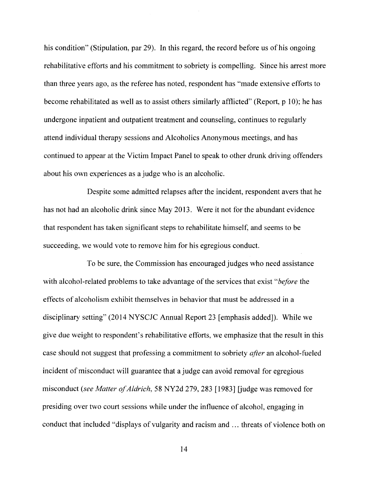his condition" (Stipulation, par 29). In this regard, the record before us of his ongoing rehabilitative efforts and his commitment to sobriety is compelling. Since his arrest more than three years ago, as the referee has noted, respondent has "made extensive efforts to become rehabilitated as well as to assist others similarly afflicted" (Report, p 10); he has undergone inpatient and outpatient treatment and counseling, continues to regularly attend individual therapy sessions and Alcoholics Anonymous meetings, and has continued to appear at the Victim Impact Panel to speak to other drunk driving offenders about his own experiences as a judge who is an alcoholic.

Despite some admitted relapses after the incident, respondent avers that he has not had an alcoholic drink since May 2013. Were it not for the abundant evidence that respondent has taken significant steps to rehabilitate himself, and seems to be succeeding, we would vote to remove him for his egregious conduct.

To be sure, the Commission has encouraged judges who need assistance with alcohol-related problems to take advantage of the services that exist *"before* the effects of alcoholism exhibit themselves in behavior that must be addressed in a disciplinary setting" (2014 NYSCJC Annual Report 23 [emphasis added]). While we give due weight to respondent's rehabilitative efforts, we emphasize that the result in this case should not suggest that professing a commitment to sobriety *after* an alcohol-fueled incident of misconduct will guarantee that a judge can avoid removal for egregious misconduct *(see Matter of Aldrich,* 58 NY2d 279, 283 [1983] [judge was removed for presiding over two court sessions while under the influence of alcohol, engaging in conduct that included "displays of vulgarity and racism and ... threats of violence both on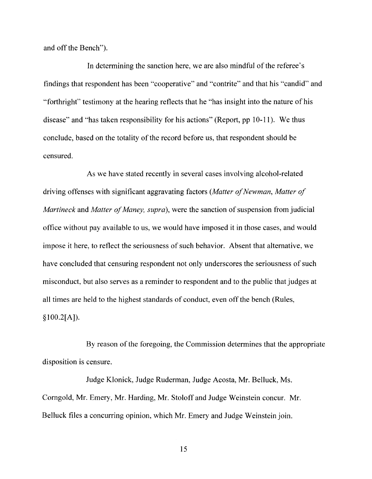and off the Bench").

In determining the sanction here, we are also mindful of the referee's findings that respondent has been "cooperative" and "contrite" and that his "candid" and "forthright" testimony at the hearing reflects that he "has insight into the nature of his disease" and "has taken responsibility for his actions" (Report, pp 10-11 ). We thus conclude, based on the totality of the record before us, that respondent should be censured.

As we have stated recently in several cases involving alcohol-related driving offenses with significant aggravating factors *(Matter of Newman, Matter of Martine ck* and *Matter of Maney, supra),* were the sanction of suspension from judicial office without pay available to us, we would have imposed it in those cases, and would impose it here, to reflect the seriousness of such behavior. Absent that alternative, we have concluded that censuring respondent not only underscores the seriousness of such misconduct, but also serves as a reminder to respondent and to the public that judges at all times are held to the highest standards of conduct, even off the bench (Rules,  $§100.2[A]$ ).

By reason of the foregoing, the Commission determines that the appropriate disposition is censure.

Judge Klonick, Judge Ruderman, Judge Acosta, Mr. Belluck, Ms. Comgold, Mr. Emery, Mr. Harding, Mr. Stoloff and Judge Weinstein concur. Mr. Belluck files a concurring opinion, which Mr. Emery and Judge Weinstein join.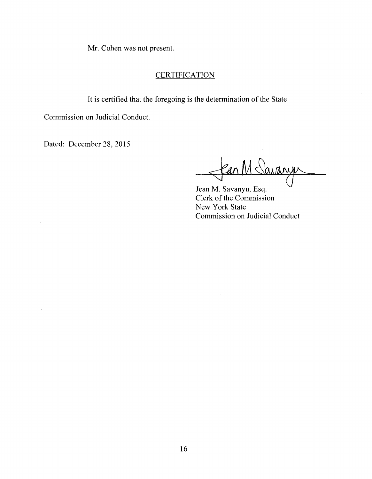Mr. Cohen was not present.

## **CERTIFICATION**

It is certified that the foregoing is the determination of the State

Commission on Judicial Conduct.

Dated: December 28, 2015

Ean M Savarye

Jean M. Savanyu, Esq. Clerk of the Commission New York State Commission on Judicial Conduct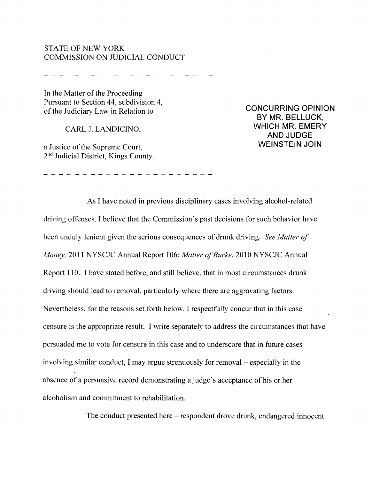# STATE OF NEW YORK COMMISSION ON JUDICIAL CONDUCT

In the Matter of the Proceeding Pursuant to Section 44, subdivision 4, of the Judiciary Law in Relation to

CARL J. LANDICINO,

a Justice of the Supreme Court, 2nd Judicial District, Kings County.

**CONCURRING OPINION BY MR. BELLUCK, WHICH MR. EMERY AND JUDGE WEINSTEIN JOIN** 

As I have noted in previous disciplinary cases involving alcohol-related driving offenses, I believe that the Commission's past decisions for such behavior have been unduly lenient given the serious consequences of drunk driving. *See Matter of Maney.* 2011 NYSCJC Annual Report 106; *Matter of Burke,* 2010 NYSCJC Annual Report 110. I have stated before, and still believe, that in most circumstances drunk driving should lead to removal, particularly where there are aggravating factors. Nevertheless, for the reasons set forth below, I respectfully concur that in this case censure is the appropriate result. I write separately to address the circumstances that have persuaded me to vote for censure in this case and to underscore that in future cases involving similar conduct, I may argue strenuously for removal – especially in the absence of a persuasive record demonstrating a judge's acceptance of his or her alcoholism and commitment to rehabilitation.

The conduct presented here - respondent drove drunk, endangered innocent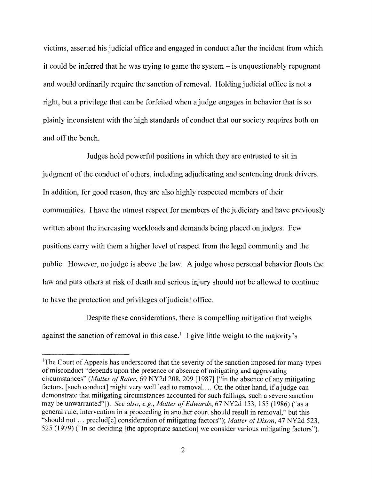victims, asserted his judicial office and engaged in conduct after the incident from which it could be inferred that he was trying to game the system - is unquestionably repugnant and would ordinarily require the sanction of removal. Holding judicial office is not a right, but a privilege that can be forfeited when a judge engages in behavior that is so plainly inconsistent with the high standards of conduct that our society requires both on and off the bench.

Judges hold powerful positions in which they are entrusted to sit in judgment of the conduct of others, including adjudicating and sentencing drunk drivers. In addition, for good reason, they are also highly respected members of their communities. I have the utmost respect for members of the judiciary and have previously written about the increasing workloads and demands being placed on judges. Few positions carry with them a higher level of respect from the legal community and the public. However, no judge is above the law. A judge whose personal behavior flouts the law and puts others at risk of death and serious injury should not be allowed to continue to have the protection and privileges of judicial office.

Despite these considerations, there is compelling mitigation that weighs against the sanction of removal in this case.<sup>1</sup> I give little weight to the majority's

<sup>&</sup>lt;sup>1</sup>The Court of Appeals has underscored that the severity of the sanction imposed for many types of misconduct "depends upon the presence or absence of mitigating and aggravating circumstances" *(Matter of Rater,* 69 NY2d 208, 209 [1987] ["in the absence of any mitigating factors, [such conduct] might very well lead to removal.... On the other hand, if a judge can demonstrate that mitigating circumstances accounted for such failings, such a severe sanction may be unwarranted"]). *See also, e.g., Matter of Edwards,* 67 NY2d 153, 155 (1986) ("as a general rule, intervention in a proceeding in another court should result in removal," but this "should not ... preclud[e] consideration of mitigating factors"); *Matter of Dixon,* 47 NY2d 523, 525 (1979) ("In so deciding [the appropriate sanction] we consider various mitigating factors").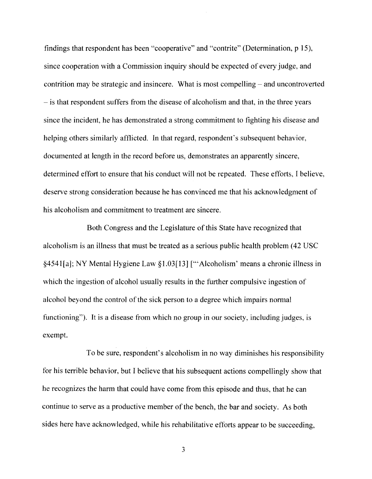findings that respondent has been "cooperative" and "contrite" (Determination, p 15), since cooperation with a Commission inquiry should be expected of every judge, and contrition may be strategic and insincere. What is most compelling – and uncontroverted - is that respondent suffers from the disease of alcoholism and that, in the three years since the incident, he has demonstrated a strong commitment to fighting his disease and helping others similarly afflicted. In that regard, respondent's subsequent behavior, documented at length in the record before us, demonstrates an apparently sincere, determined effort to ensure that his conduct will not be repeated. These efforts, I believe, deserve strong consideration because he has convinced me that his acknowledgment of his alcoholism and commitment to treatment are sincere.

Both Congress and the Legislature of this State have recognized that alcoholism is an illness that must be treated as a serious public health problem (42 USC) §4541[a]; NY Mental Hygiene Law §1.03[13] ["'Alcoholism' means a chronic illness in which the ingestion of alcohol usually results in the further compulsive ingestion of alcohol beyond the control of the sick person to a degree which impairs normal functioning"). It is a disease from which no group in our society, including judges, is exempt.

To be sure, respondent's alcoholism in no way diminishes his responsibility for his terrible behavior, but I believe that his subsequent actions compellingly show that he recognizes the harm that could have come from this episode and thus, that he can continue to serve as a productive member of the bench, the bar and society. As both sides here have acknowledged, while his rehabilitative efforts appear to be succeeding,